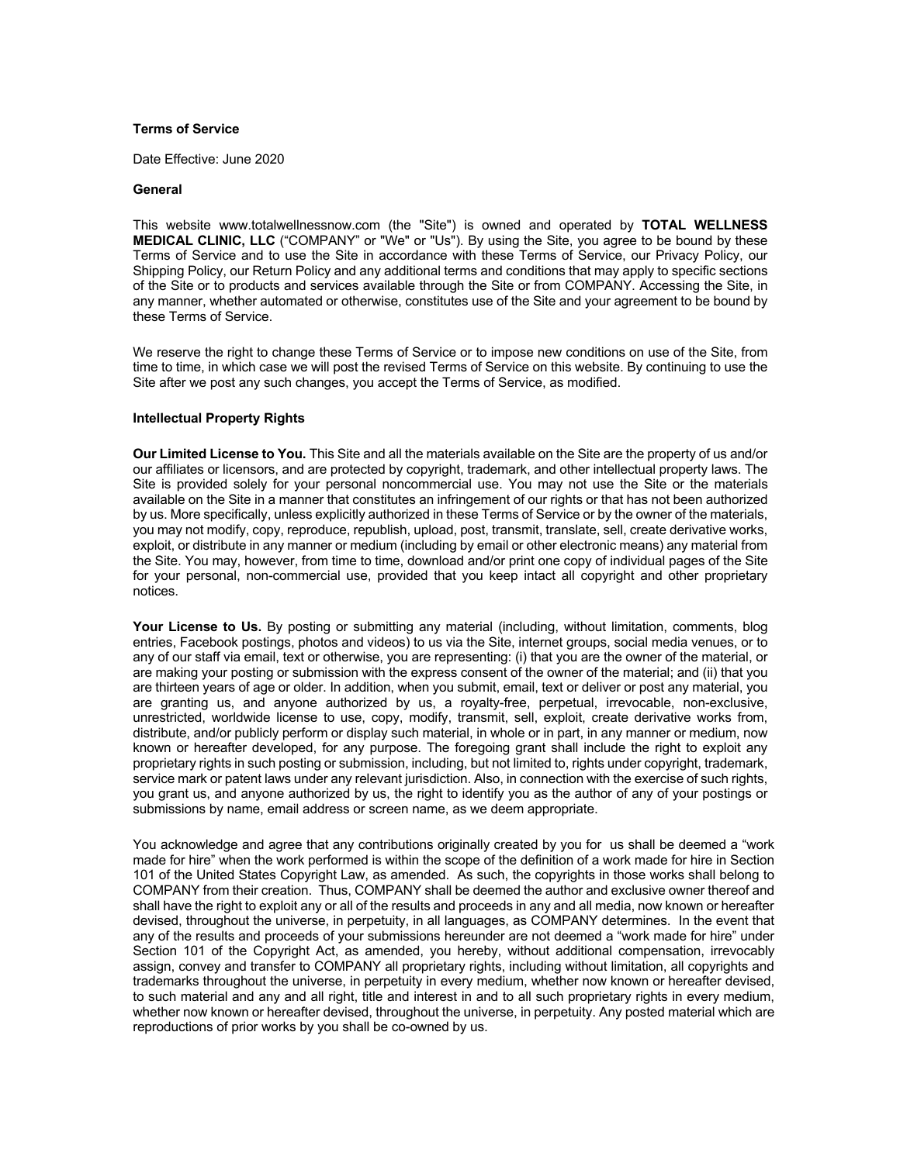## **Terms of Service**

Date Effective: June 2020

#### **General**

This website www.totalwellnessnow.com (the "Site") is owned and operated by **TOTAL WELLNESS MEDICAL CLINIC, LLC** ("COMPANY" or "We" or "Us"). By using the Site, you agree to be bound by these Terms of Service and to use the Site in accordance with these Terms of Service, our Privacy Policy, our Shipping Policy, our Return Policy and any additional terms and conditions that may apply to specific sections of the Site or to products and services available through the Site or from COMPANY. Accessing the Site, in any manner, whether automated or otherwise, constitutes use of the Site and your agreement to be bound by these Terms of Service.

We reserve the right to change these Terms of Service or to impose new conditions on use of the Site, from time to time, in which case we will post the revised Terms of Service on this website. By continuing to use the Site after we post any such changes, you accept the Terms of Service, as modified.

#### **Intellectual Property Rights**

**Our Limited License to You.** This Site and all the materials available on the Site are the property of us and/or our affiliates or licensors, and are protected by copyright, trademark, and other intellectual property laws. The Site is provided solely for your personal noncommercial use. You may not use the Site or the materials available on the Site in a manner that constitutes an infringement of our rights or that has not been authorized by us. More specifically, unless explicitly authorized in these Terms of Service or by the owner of the materials, you may not modify, copy, reproduce, republish, upload, post, transmit, translate, sell, create derivative works, exploit, or distribute in any manner or medium (including by email or other electronic means) any material from the Site. You may, however, from time to time, download and/or print one copy of individual pages of the Site for your personal, non-commercial use, provided that you keep intact all copyright and other proprietary notices.

Your License to Us. By posting or submitting any material (including, without limitation, comments, blog entries, Facebook postings, photos and videos) to us via the Site, internet groups, social media venues, or to any of our staff via email, text or otherwise, you are representing: (i) that you are the owner of the material, or are making your posting or submission with the express consent of the owner of the material; and (ii) that you are thirteen years of age or older. In addition, when you submit, email, text or deliver or post any material, you are granting us, and anyone authorized by us, a royalty-free, perpetual, irrevocable, non-exclusive, unrestricted, worldwide license to use, copy, modify, transmit, sell, exploit, create derivative works from, distribute, and/or publicly perform or display such material, in whole or in part, in any manner or medium, now known or hereafter developed, for any purpose. The foregoing grant shall include the right to exploit any proprietary rights in such posting or submission, including, but not limited to, rights under copyright, trademark, service mark or patent laws under any relevant jurisdiction. Also, in connection with the exercise of such rights, you grant us, and anyone authorized by us, the right to identify you as the author of any of your postings or submissions by name, email address or screen name, as we deem appropriate.

You acknowledge and agree that any contributions originally created by you for us shall be deemed a "work made for hire" when the work performed is within the scope of the definition of a work made for hire in Section 101 of the United States Copyright Law, as amended. As such, the copyrights in those works shall belong to COMPANY from their creation. Thus, COMPANY shall be deemed the author and exclusive owner thereof and shall have the right to exploit any or all of the results and proceeds in any and all media, now known or hereafter devised, throughout the universe, in perpetuity, in all languages, as COMPANY determines. In the event that any of the results and proceeds of your submissions hereunder are not deemed a "work made for hire" under Section 101 of the Copyright Act, as amended, you hereby, without additional compensation, irrevocably assign, convey and transfer to COMPANY all proprietary rights, including without limitation, all copyrights and trademarks throughout the universe, in perpetuity in every medium, whether now known or hereafter devised, to such material and any and all right, title and interest in and to all such proprietary rights in every medium, whether now known or hereafter devised, throughout the universe, in perpetuity. Any posted material which are reproductions of prior works by you shall be co-owned by us.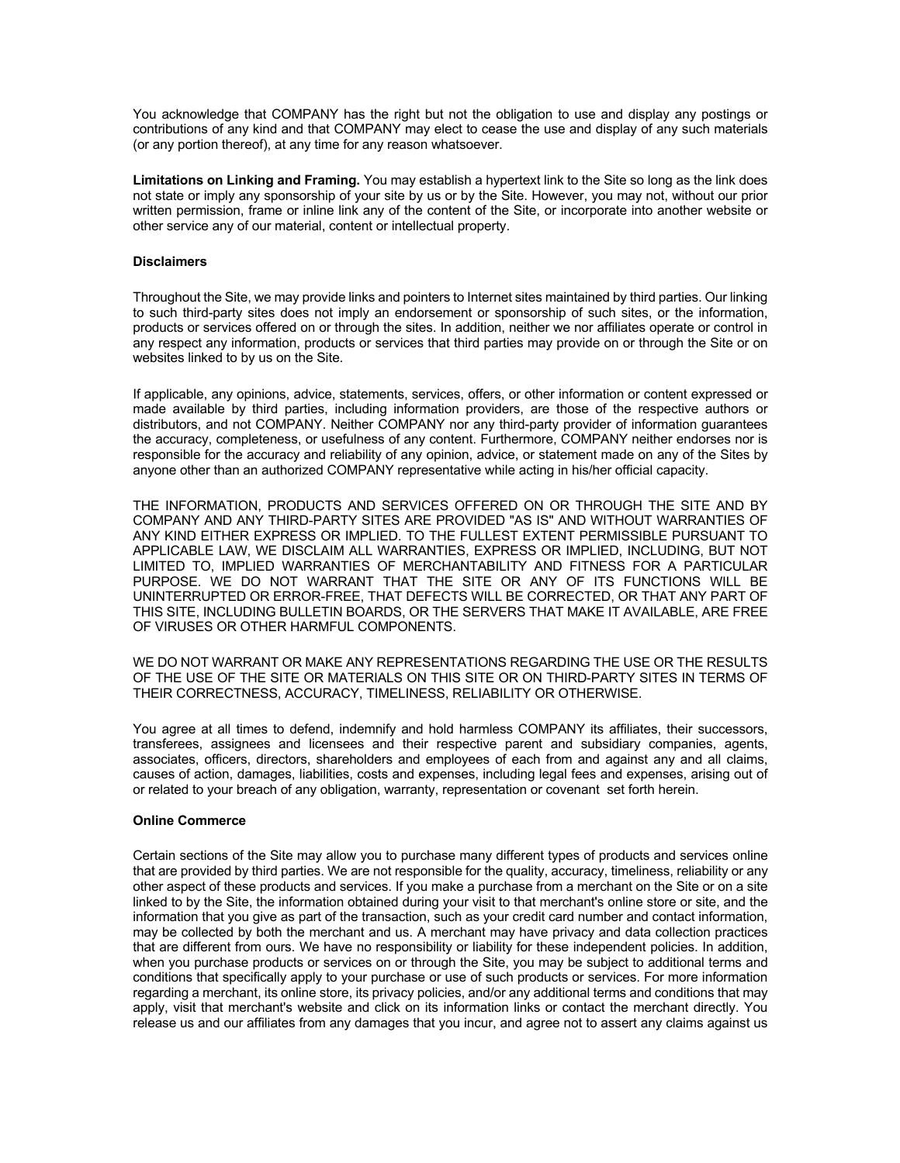You acknowledge that COMPANY has the right but not the obligation to use and display any postings or contributions of any kind and that COMPANY may elect to cease the use and display of any such materials (or any portion thereof), at any time for any reason whatsoever.

**Limitations on Linking and Framing.** You may establish a hypertext link to the Site so long as the link does not state or imply any sponsorship of your site by us or by the Site. However, you may not, without our prior written permission, frame or inline link any of the content of the Site, or incorporate into another website or other service any of our material, content or intellectual property.

## **Disclaimers**

Throughout the Site, we may provide links and pointers to Internet sites maintained by third parties. Our linking to such third-party sites does not imply an endorsement or sponsorship of such sites, or the information, products or services offered on or through the sites. In addition, neither we nor affiliates operate or control in any respect any information, products or services that third parties may provide on or through the Site or on websites linked to by us on the Site.

If applicable, any opinions, advice, statements, services, offers, or other information or content expressed or made available by third parties, including information providers, are those of the respective authors or distributors, and not COMPANY. Neither COMPANY nor any third-party provider of information guarantees the accuracy, completeness, or usefulness of any content. Furthermore, COMPANY neither endorses nor is responsible for the accuracy and reliability of any opinion, advice, or statement made on any of the Sites by anyone other than an authorized COMPANY representative while acting in his/her official capacity.

THE INFORMATION, PRODUCTS AND SERVICES OFFERED ON OR THROUGH THE SITE AND BY COMPANY AND ANY THIRD-PARTY SITES ARE PROVIDED "AS IS" AND WITHOUT WARRANTIES OF ANY KIND EITHER EXPRESS OR IMPLIED. TO THE FULLEST EXTENT PERMISSIBLE PURSUANT TO APPLICABLE LAW, WE DISCLAIM ALL WARRANTIES, EXPRESS OR IMPLIED, INCLUDING, BUT NOT LIMITED TO, IMPLIED WARRANTIES OF MERCHANTABILITY AND FITNESS FOR A PARTICULAR PURPOSE. WE DO NOT WARRANT THAT THE SITE OR ANY OF ITS FUNCTIONS WILL BE UNINTERRUPTED OR ERROR-FREE, THAT DEFECTS WILL BE CORRECTED, OR THAT ANY PART OF THIS SITE, INCLUDING BULLETIN BOARDS, OR THE SERVERS THAT MAKE IT AVAILABLE, ARE FREE OF VIRUSES OR OTHER HARMFUL COMPONENTS.

WE DO NOT WARRANT OR MAKE ANY REPRESENTATIONS REGARDING THE USE OR THE RESULTS OF THE USE OF THE SITE OR MATERIALS ON THIS SITE OR ON THIRD-PARTY SITES IN TERMS OF THEIR CORRECTNESS, ACCURACY, TIMELINESS, RELIABILITY OR OTHERWISE.

You agree at all times to defend, indemnify and hold harmless COMPANY its affiliates, their successors, transferees, assignees and licensees and their respective parent and subsidiary companies, agents, associates, officers, directors, shareholders and employees of each from and against any and all claims, causes of action, damages, liabilities, costs and expenses, including legal fees and expenses, arising out of or related to your breach of any obligation, warranty, representation or covenant set forth herein.

# **Online Commerce**

Certain sections of the Site may allow you to purchase many different types of products and services online that are provided by third parties. We are not responsible for the quality, accuracy, timeliness, reliability or any other aspect of these products and services. If you make a purchase from a merchant on the Site or on a site linked to by the Site, the information obtained during your visit to that merchant's online store or site, and the information that you give as part of the transaction, such as your credit card number and contact information, may be collected by both the merchant and us. A merchant may have privacy and data collection practices that are different from ours. We have no responsibility or liability for these independent policies. In addition, when you purchase products or services on or through the Site, you may be subject to additional terms and conditions that specifically apply to your purchase or use of such products or services. For more information regarding a merchant, its online store, its privacy policies, and/or any additional terms and conditions that may apply, visit that merchant's website and click on its information links or contact the merchant directly. You release us and our affiliates from any damages that you incur, and agree not to assert any claims against us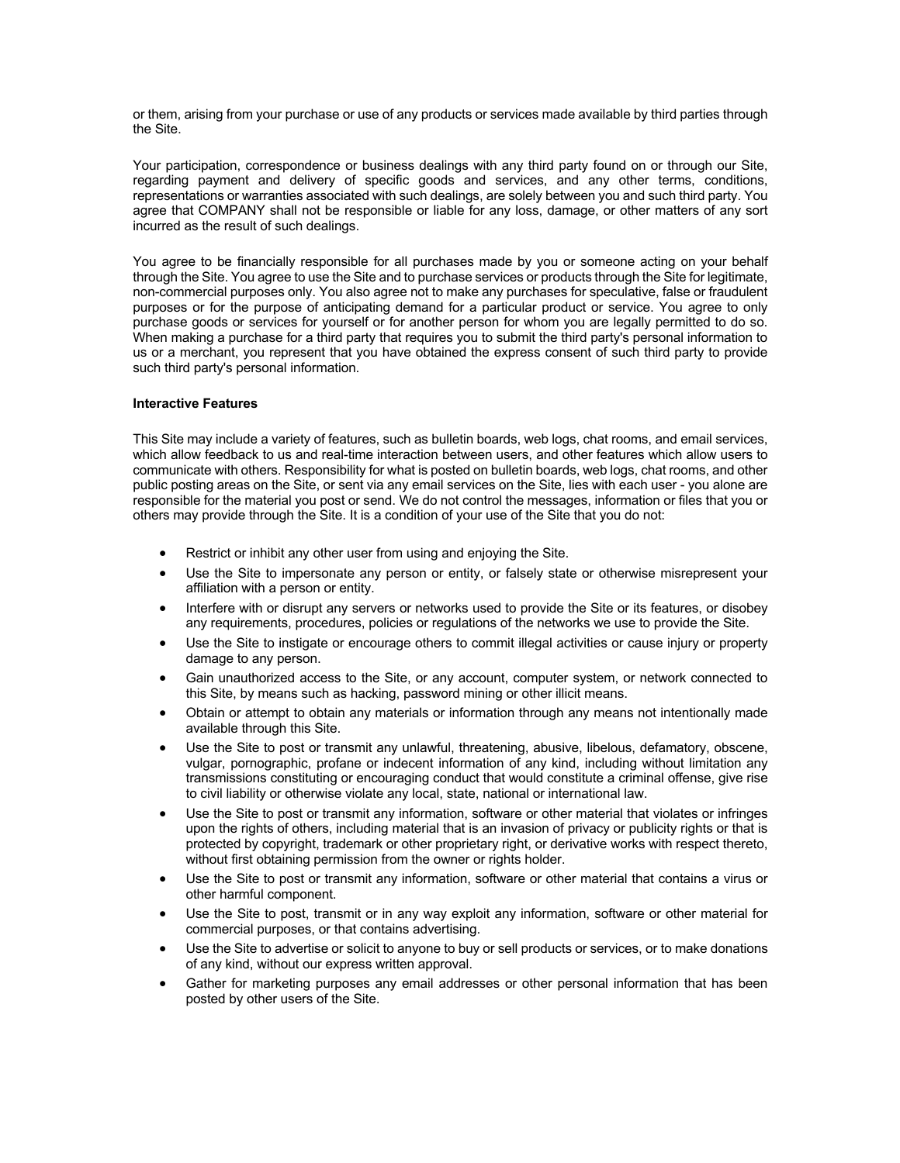or them, arising from your purchase or use of any products or services made available by third parties through the Site.

Your participation, correspondence or business dealings with any third party found on or through our Site, regarding payment and delivery of specific goods and services, and any other terms, conditions, representations or warranties associated with such dealings, are solely between you and such third party. You agree that COMPANY shall not be responsible or liable for any loss, damage, or other matters of any sort incurred as the result of such dealings.

You agree to be financially responsible for all purchases made by you or someone acting on your behalf through the Site. You agree to use the Site and to purchase services or products through the Site for legitimate, non-commercial purposes only. You also agree not to make any purchases for speculative, false or fraudulent purposes or for the purpose of anticipating demand for a particular product or service. You agree to only purchase goods or services for yourself or for another person for whom you are legally permitted to do so. When making a purchase for a third party that requires you to submit the third party's personal information to us or a merchant, you represent that you have obtained the express consent of such third party to provide such third party's personal information.

# **Interactive Features**

This Site may include a variety of features, such as bulletin boards, web logs, chat rooms, and email services, which allow feedback to us and real-time interaction between users, and other features which allow users to communicate with others. Responsibility for what is posted on bulletin boards, web logs, chat rooms, and other public posting areas on the Site, or sent via any email services on the Site, lies with each user - you alone are responsible for the material you post or send. We do not control the messages, information or files that you or others may provide through the Site. It is a condition of your use of the Site that you do not:

- Restrict or inhibit any other user from using and enjoying the Site.
- Use the Site to impersonate any person or entity, or falsely state or otherwise misrepresent your affiliation with a person or entity.
- Interfere with or disrupt any servers or networks used to provide the Site or its features, or disobey any requirements, procedures, policies or regulations of the networks we use to provide the Site.
- Use the Site to instigate or encourage others to commit illegal activities or cause injury or property damage to any person.
- Gain unauthorized access to the Site, or any account, computer system, or network connected to this Site, by means such as hacking, password mining or other illicit means.
- Obtain or attempt to obtain any materials or information through any means not intentionally made available through this Site.
- Use the Site to post or transmit any unlawful, threatening, abusive, libelous, defamatory, obscene, vulgar, pornographic, profane or indecent information of any kind, including without limitation any transmissions constituting or encouraging conduct that would constitute a criminal offense, give rise to civil liability or otherwise violate any local, state, national or international law.
- Use the Site to post or transmit any information, software or other material that violates or infringes upon the rights of others, including material that is an invasion of privacy or publicity rights or that is protected by copyright, trademark or other proprietary right, or derivative works with respect thereto, without first obtaining permission from the owner or rights holder.
- Use the Site to post or transmit any information, software or other material that contains a virus or other harmful component.
- Use the Site to post, transmit or in any way exploit any information, software or other material for commercial purposes, or that contains advertising.
- Use the Site to advertise or solicit to anyone to buy or sell products or services, or to make donations of any kind, without our express written approval.
- Gather for marketing purposes any email addresses or other personal information that has been posted by other users of the Site.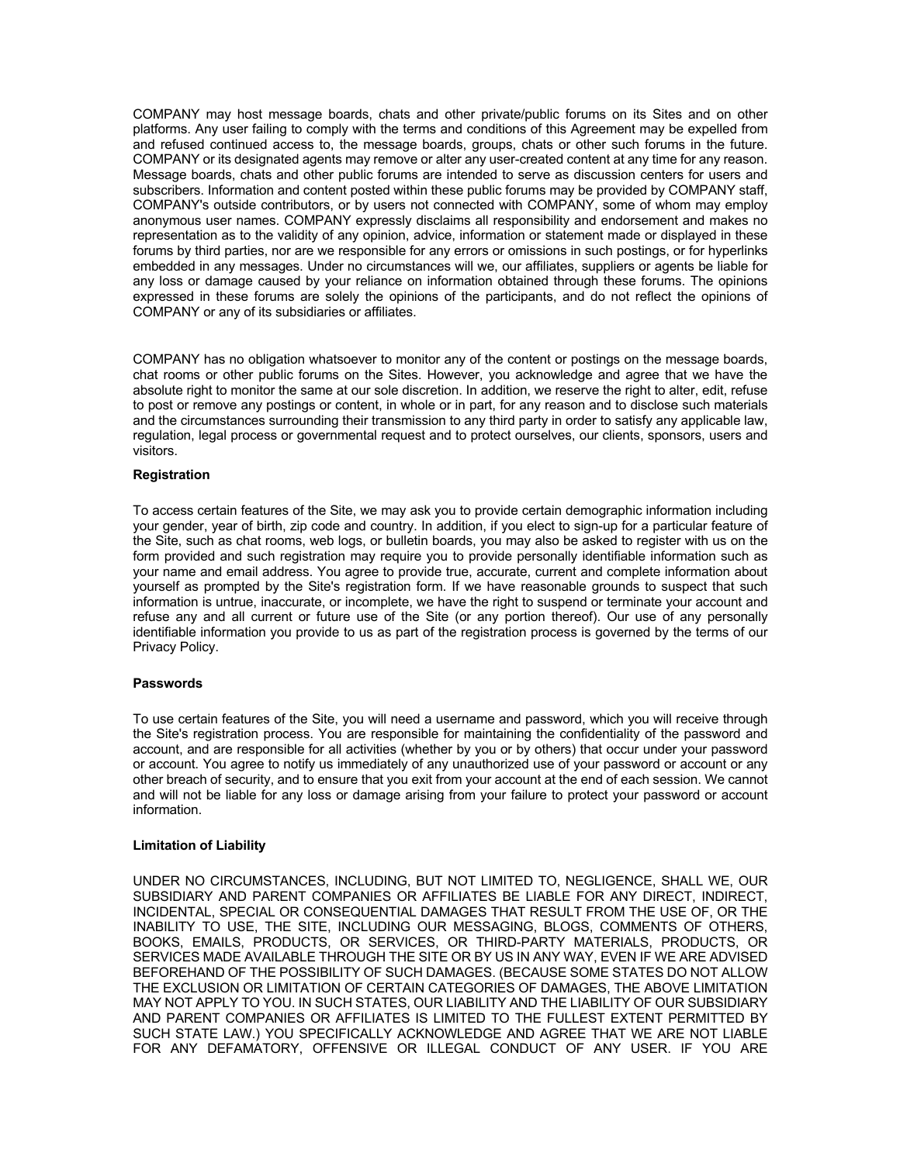COMPANY may host message boards, chats and other private/public forums on its Sites and on other platforms. Any user failing to comply with the terms and conditions of this Agreement may be expelled from and refused continued access to, the message boards, groups, chats or other such forums in the future. COMPANY or its designated agents may remove or alter any user-created content at any time for any reason. Message boards, chats and other public forums are intended to serve as discussion centers for users and subscribers. Information and content posted within these public forums may be provided by COMPANY staff, COMPANY's outside contributors, or by users not connected with COMPANY, some of whom may employ anonymous user names. COMPANY expressly disclaims all responsibility and endorsement and makes no representation as to the validity of any opinion, advice, information or statement made or displayed in these forums by third parties, nor are we responsible for any errors or omissions in such postings, or for hyperlinks embedded in any messages. Under no circumstances will we, our affiliates, suppliers or agents be liable for any loss or damage caused by your reliance on information obtained through these forums. The opinions expressed in these forums are solely the opinions of the participants, and do not reflect the opinions of COMPANY or any of its subsidiaries or affiliates.

COMPANY has no obligation whatsoever to monitor any of the content or postings on the message boards, chat rooms or other public forums on the Sites. However, you acknowledge and agree that we have the absolute right to monitor the same at our sole discretion. In addition, we reserve the right to alter, edit, refuse to post or remove any postings or content, in whole or in part, for any reason and to disclose such materials and the circumstances surrounding their transmission to any third party in order to satisfy any applicable law, regulation, legal process or governmental request and to protect ourselves, our clients, sponsors, users and visitors.

## **Registration**

To access certain features of the Site, we may ask you to provide certain demographic information including your gender, year of birth, zip code and country. In addition, if you elect to sign-up for a particular feature of the Site, such as chat rooms, web logs, or bulletin boards, you may also be asked to register with us on the form provided and such registration may require you to provide personally identifiable information such as your name and email address. You agree to provide true, accurate, current and complete information about yourself as prompted by the Site's registration form. If we have reasonable grounds to suspect that such information is untrue, inaccurate, or incomplete, we have the right to suspend or terminate your account and refuse any and all current or future use of the Site (or any portion thereof). Our use of any personally identifiable information you provide to us as part of the registration process is governed by the terms of our Privacy Policy.

#### **Passwords**

To use certain features of the Site, you will need a username and password, which you will receive through the Site's registration process. You are responsible for maintaining the confidentiality of the password and account, and are responsible for all activities (whether by you or by others) that occur under your password or account. You agree to notify us immediately of any unauthorized use of your password or account or any other breach of security, and to ensure that you exit from your account at the end of each session. We cannot and will not be liable for any loss or damage arising from your failure to protect your password or account information.

#### **Limitation of Liability**

UNDER NO CIRCUMSTANCES, INCLUDING, BUT NOT LIMITED TO, NEGLIGENCE, SHALL WE, OUR SUBSIDIARY AND PARENT COMPANIES OR AFFILIATES BE LIABLE FOR ANY DIRECT, INDIRECT, INCIDENTAL, SPECIAL OR CONSEQUENTIAL DAMAGES THAT RESULT FROM THE USE OF, OR THE INABILITY TO USE, THE SITE, INCLUDING OUR MESSAGING, BLOGS, COMMENTS OF OTHERS, BOOKS, EMAILS, PRODUCTS, OR SERVICES, OR THIRD-PARTY MATERIALS, PRODUCTS, OR SERVICES MADE AVAILABLE THROUGH THE SITE OR BY US IN ANY WAY, EVEN IF WE ARE ADVISED BEFOREHAND OF THE POSSIBILITY OF SUCH DAMAGES. (BECAUSE SOME STATES DO NOT ALLOW THE EXCLUSION OR LIMITATION OF CERTAIN CATEGORIES OF DAMAGES, THE ABOVE LIMITATION MAY NOT APPLY TO YOU. IN SUCH STATES, OUR LIABILITY AND THE LIABILITY OF OUR SUBSIDIARY AND PARENT COMPANIES OR AFFILIATES IS LIMITED TO THE FULLEST EXTENT PERMITTED BY SUCH STATE LAW.) YOU SPECIFICALLY ACKNOWLEDGE AND AGREE THAT WE ARE NOT LIABLE FOR ANY DEFAMATORY, OFFENSIVE OR ILLEGAL CONDUCT OF ANY USER. IF YOU ARE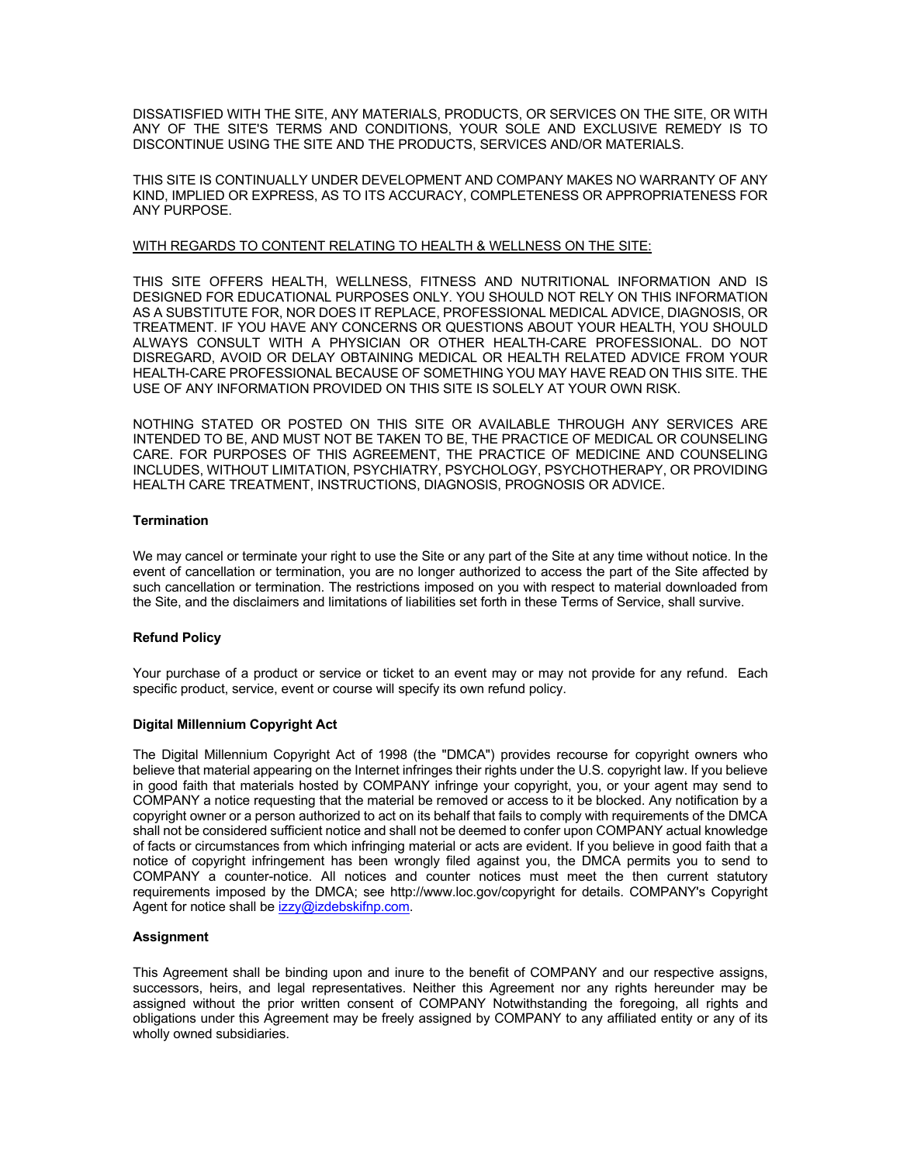DISSATISFIED WITH THE SITE, ANY MATERIALS, PRODUCTS, OR SERVICES ON THE SITE, OR WITH ANY OF THE SITE'S TERMS AND CONDITIONS, YOUR SOLE AND EXCLUSIVE REMEDY IS TO DISCONTINUE USING THE SITE AND THE PRODUCTS, SERVICES AND/OR MATERIALS.

THIS SITE IS CONTINUALLY UNDER DEVELOPMENT AND COMPANY MAKES NO WARRANTY OF ANY KIND, IMPLIED OR EXPRESS, AS TO ITS ACCURACY, COMPLETENESS OR APPROPRIATENESS FOR ANY PURPOSE.

## WITH REGARDS TO CONTENT RELATING TO HEALTH & WELLNESS ON THE SITE:

THIS SITE OFFERS HEALTH, WELLNESS, FITNESS AND NUTRITIONAL INFORMATION AND IS DESIGNED FOR EDUCATIONAL PURPOSES ONLY. YOU SHOULD NOT RELY ON THIS INFORMATION AS A SUBSTITUTE FOR, NOR DOES IT REPLACE, PROFESSIONAL MEDICAL ADVICE, DIAGNOSIS, OR TREATMENT. IF YOU HAVE ANY CONCERNS OR QUESTIONS ABOUT YOUR HEALTH, YOU SHOULD ALWAYS CONSULT WITH A PHYSICIAN OR OTHER HEALTH-CARE PROFESSIONAL. DO NOT DISREGARD, AVOID OR DELAY OBTAINING MEDICAL OR HEALTH RELATED ADVICE FROM YOUR HEALTH-CARE PROFESSIONAL BECAUSE OF SOMETHING YOU MAY HAVE READ ON THIS SITE. THE USE OF ANY INFORMATION PROVIDED ON THIS SITE IS SOLELY AT YOUR OWN RISK.

NOTHING STATED OR POSTED ON THIS SITE OR AVAILABLE THROUGH ANY SERVICES ARE INTENDED TO BE, AND MUST NOT BE TAKEN TO BE, THE PRACTICE OF MEDICAL OR COUNSELING CARE. FOR PURPOSES OF THIS AGREEMENT, THE PRACTICE OF MEDICINE AND COUNSELING INCLUDES, WITHOUT LIMITATION, PSYCHIATRY, PSYCHOLOGY, PSYCHOTHERAPY, OR PROVIDING HEALTH CARE TREATMENT, INSTRUCTIONS, DIAGNOSIS, PROGNOSIS OR ADVICE.

## **Termination**

We may cancel or terminate your right to use the Site or any part of the Site at any time without notice. In the event of cancellation or termination, you are no longer authorized to access the part of the Site affected by such cancellation or termination. The restrictions imposed on you with respect to material downloaded from the Site, and the disclaimers and limitations of liabilities set forth in these Terms of Service, shall survive.

# **Refund Policy**

Your purchase of a product or service or ticket to an event may or may not provide for any refund. Each specific product, service, event or course will specify its own refund policy.

# **Digital Millennium Copyright Act**

The Digital Millennium Copyright Act of 1998 (the "DMCA") provides recourse for copyright owners who believe that material appearing on the Internet infringes their rights under the U.S. copyright law. If you believe in good faith that materials hosted by COMPANY infringe your copyright, you, or your agent may send to COMPANY a notice requesting that the material be removed or access to it be blocked. Any notification by a copyright owner or a person authorized to act on its behalf that fails to comply with requirements of the DMCA shall not be considered sufficient notice and shall not be deemed to confer upon COMPANY actual knowledge of facts or circumstances from which infringing material or acts are evident. If you believe in good faith that a notice of copyright infringement has been wrongly filed against you, the DMCA permits you to send to COMPANY a counter-notice. All notices and counter notices must meet the then current statutory requirements imposed by the DMCA; see http://www.loc.gov/copyright for details. COMPANY's Copyright Agent for notice shall be *izzy@izdebskifnp.com.* 

# **Assignment**

This Agreement shall be binding upon and inure to the benefit of COMPANY and our respective assigns, successors, heirs, and legal representatives. Neither this Agreement nor any rights hereunder may be assigned without the prior written consent of COMPANY Notwithstanding the foregoing, all rights and obligations under this Agreement may be freely assigned by COMPANY to any affiliated entity or any of its wholly owned subsidiaries.